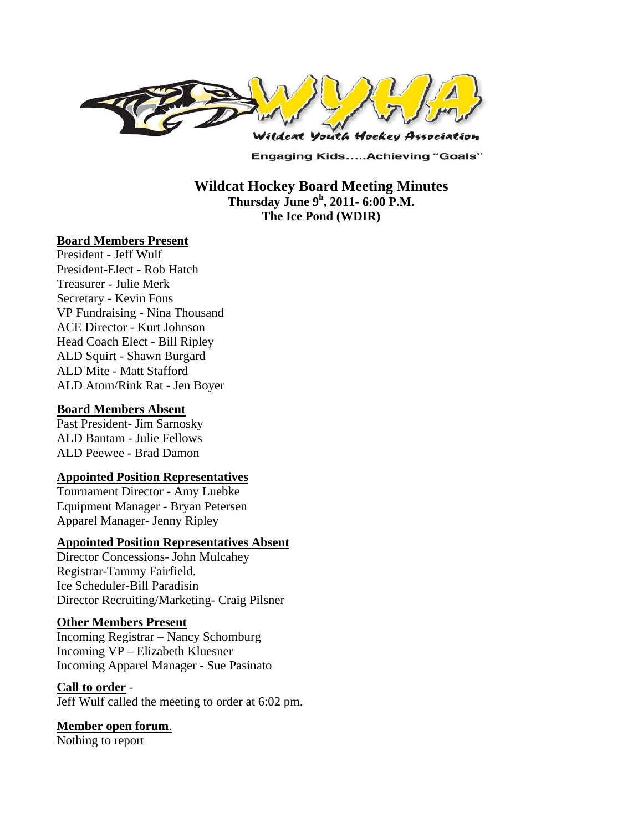

**Engaging Kids.....Achieving "Goals"** 

**Wildcat Hockey Board Meeting Minutes Thursday June 9<sup>h</sup> , 2011- 6:00 P.M. The Ice Pond (WDIR)** 

#### **Board Members Present**

President - Jeff Wulf President-Elect - Rob Hatch Treasurer - Julie Merk Secretary - Kevin Fons VP Fundraising - Nina Thousand ACE Director - Kurt Johnson Head Coach Elect - Bill Ripley ALD Squirt - Shawn Burgard ALD Mite - Matt Stafford ALD Atom/Rink Rat - Jen Boyer

#### **Board Members Absent**

Past President- Jim Sarnosky ALD Bantam - Julie Fellows ALD Peewee - Brad Damon

### **Appointed Position Representatives**

Tournament Director - Amy Luebke Equipment Manager - Bryan Petersen Apparel Manager- Jenny Ripley

#### **Appointed Position Representatives Absent**

Director Concessions- John Mulcahey Registrar-Tammy Fairfield. Ice Scheduler-Bill Paradisin Director Recruiting/Marketing- Craig Pilsner

#### **Other Members Present**

Incoming Registrar – Nancy Schomburg Incoming VP – Elizabeth Kluesner Incoming Apparel Manager - Sue Pasinato

### **Call to order** -

Jeff Wulf called the meeting to order at 6:02 pm.

### **Member open forum**.

Nothing to report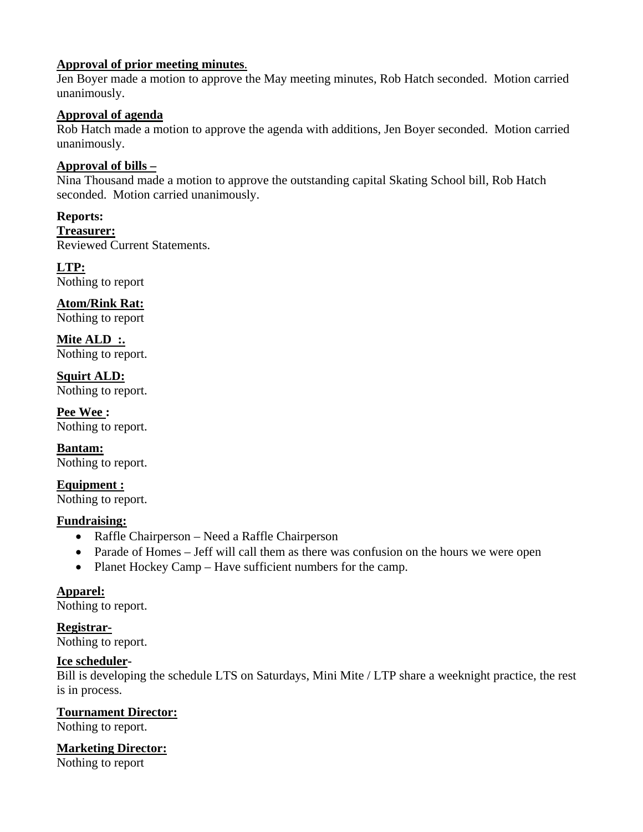# **Approval of prior meeting minutes**.

Jen Boyer made a motion to approve the May meeting minutes, Rob Hatch seconded. Motion carried unanimously.

# **Approval of agenda**

Rob Hatch made a motion to approve the agenda with additions, Jen Boyer seconded. Motion carried unanimously.

# **Approval of bills –**

Nina Thousand made a motion to approve the outstanding capital Skating School bill, Rob Hatch seconded. Motion carried unanimously.

### **Reports:**

**Treasurer:**  Reviewed Current Statements.

# **LTP:**

Nothing to report

**Atom/Rink Rat:**  Nothing to report

**Mite ALD :.**  Nothing to report.

**Squirt ALD:**  Nothing to report.

**Pee Wee :**  Nothing to report.

**Bantam:**  Nothing to report.

**Equipment :**  Nothing to report.

### **Fundraising:**

- Raffle Chairperson Need a Raffle Chairperson
- Parade of Homes Jeff will call them as there was confusion on the hours we were open
- Planet Hockey Camp Have sufficient numbers for the camp.

### **Apparel:**

Nothing to report.

**Registrar-**

Nothing to report.

# **Ice scheduler-**

Bill is developing the schedule LTS on Saturdays, Mini Mite / LTP share a weeknight practice, the rest is in process.

### **Tournament Director:**

Nothing to report.

# **Marketing Director:**

Nothing to report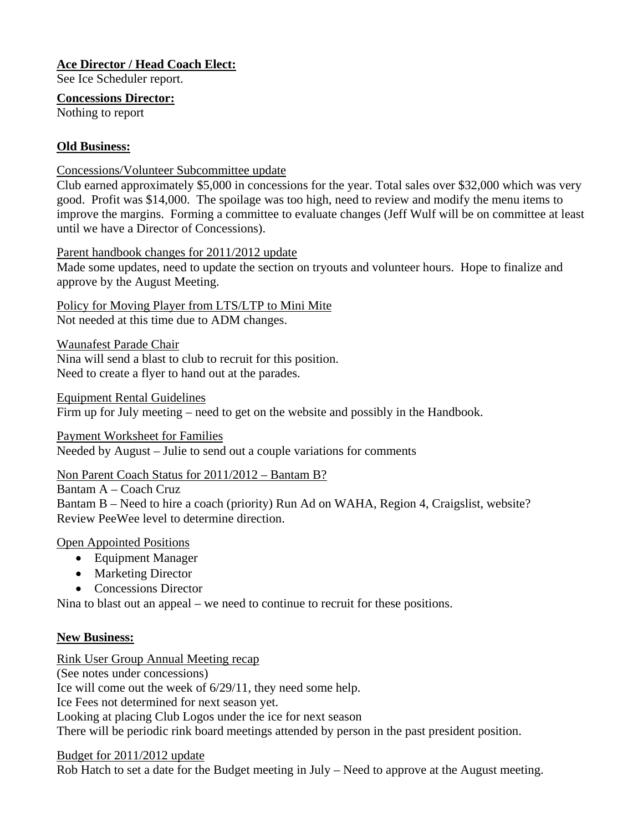# **Ace Director / Head Coach Elect:**

See Ice Scheduler report.

**Concessions Director:** Nothing to report

# **Old Business:**

Concessions/Volunteer Subcommittee update

Club earned approximately \$5,000 in concessions for the year. Total sales over \$32,000 which was very good. Profit was \$14,000. The spoilage was too high, need to review and modify the menu items to improve the margins. Forming a committee to evaluate changes (Jeff Wulf will be on committee at least until we have a Director of Concessions).

Parent handbook changes for 2011/2012 update

Made some updates, need to update the section on tryouts and volunteer hours. Hope to finalize and approve by the August Meeting.

Policy for Moving Player from LTS/LTP to Mini Mite Not needed at this time due to ADM changes.

Waunafest Parade Chair Nina will send a blast to club to recruit for this position. Need to create a flyer to hand out at the parades.

Equipment Rental Guidelines Firm up for July meeting – need to get on the website and possibly in the Handbook.

Payment Worksheet for Families Needed by August – Julie to send out a couple variations for comments

Non Parent Coach Status for 2011/2012 – Bantam B?

Bantam A – Coach Cruz

Bantam B – Need to hire a coach (priority) Run Ad on WAHA, Region 4, Craigslist, website? Review PeeWee level to determine direction.

# Open Appointed Positions

- Equipment Manager
- Marketing Director
- Concessions Director

Nina to blast out an appeal – we need to continue to recruit for these positions.

### **New Business:**

Rink User Group Annual Meeting recap

(See notes under concessions)

Ice will come out the week of 6/29/11, they need some help.

Ice Fees not determined for next season yet.

Looking at placing Club Logos under the ice for next season

There will be periodic rink board meetings attended by person in the past president position.

### Budget for 2011/2012 update

Rob Hatch to set a date for the Budget meeting in July – Need to approve at the August meeting.